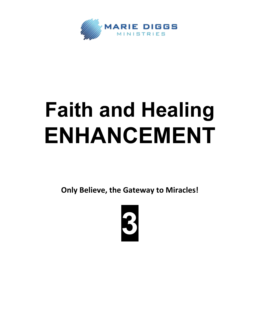

## **Faith and Healing ENHANCEMENT**

**Only Believe, the Gateway to Miracles!**